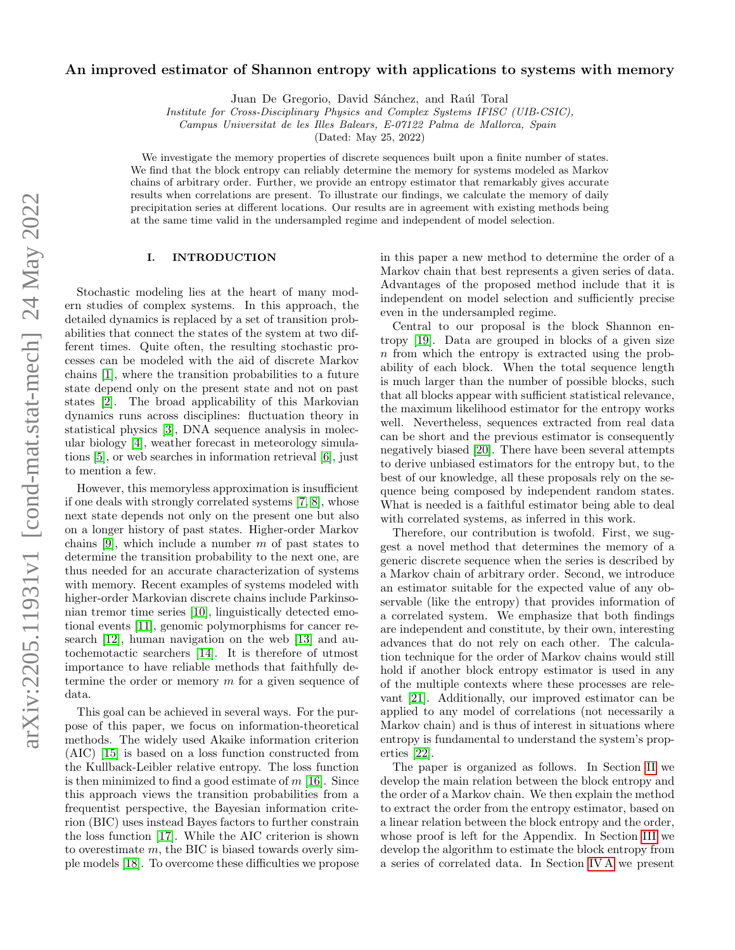# An improved estimator of Shannon entropy with applications to systems with memory

Juan De Gregorio, David Sánchez, and Raúl Toral

Institute for Cross-Disciplinary Physics and Complex Systems IFISC (UIB-CSIC),

Campus Universitat de les Illes Balears, E-07122 Palma de Mallorca, Spain

(Dated: May 25, 2022)

We investigate the memory properties of discrete sequences built upon a finite number of states. We find that the block entropy can reliably determine the memory for systems modeled as Markov chains of arbitrary order. Further, we provide an entropy estimator that remarkably gives accurate results when correlations are present. To illustrate our findings, we calculate the memory of daily precipitation series at different locations. Our results are in agreement with existing methods being at the same time valid in the undersampled regime and independent of model selection.

# I. INTRODUCTION

Stochastic modeling lies at the heart of many modern studies of complex systems. In this approach, the detailed dynamics is replaced by a set of transition probabilities that connect the states of the system at two different times. Quite often, the resulting stochastic processes can be modeled with the aid of discrete Markov chains [\[1\]](#page-7-0), where the transition probabilities to a future state depend only on the present state and not on past states [\[2\]](#page-7-1). The broad applicability of this Markovian dynamics runs across disciplines: fluctuation theory in statistical physics [\[3\]](#page-7-2), DNA sequence analysis in molecular biology [\[4\]](#page-7-3), weather forecast in meteorology simulations [\[5\]](#page-7-4), or web searches in information retrieval [\[6\]](#page-7-5), just to mention a few.

However, this memoryless approximation is insufficient if one deals with strongly correlated systems [\[7,](#page-7-6) [8\]](#page-7-7), whose next state depends not only on the present one but also on a longer history of past states. Higher-order Markov chains [\[9\]](#page-7-8), which include a number  $m$  of past states to determine the transition probability to the next one, are thus needed for an accurate characterization of systems with memory. Recent examples of systems modeled with higher-order Markovian discrete chains include Parkinsonian tremor time series [\[10\]](#page-7-9), linguistically detected emotional events [\[11\]](#page-7-10), genomic polymorphisms for cancer research [\[12\]](#page-7-11), human navigation on the web [\[13\]](#page-7-12) and autochemotactic searchers [\[14\]](#page-7-13). It is therefore of utmost importance to have reliable methods that faithfully determine the order or memory m for a given sequence of data.

This goal can be achieved in several ways. For the purpose of this paper, we focus on information-theoretical methods. The widely used Akaike information criterion (AIC) [\[15\]](#page-7-14) is based on a loss function constructed from the Kullback-Leibler relative entropy. The loss function is then minimized to find a good estimate of  $m$  [\[16\]](#page-7-15). Since this approach views the transition probabilities from a frequentist perspective, the Bayesian information criterion (BIC) uses instead Bayes factors to further constrain the loss function [\[17\]](#page-7-16). While the AIC criterion is shown to overestimate  $m$ , the BIC is biased towards overly simple models [\[18\]](#page-7-17). To overcome these difficulties we propose

in this paper a new method to determine the order of a Markov chain that best represents a given series of data. Advantages of the proposed method include that it is independent on model selection and sufficiently precise even in the undersampled regime.

Central to our proposal is the block Shannon entropy [\[19\]](#page-7-18). Data are grouped in blocks of a given size n from which the entropy is extracted using the probability of each block. When the total sequence length is much larger than the number of possible blocks, such that all blocks appear with sufficient statistical relevance, the maximum likelihood estimator for the entropy works well. Nevertheless, sequences extracted from real data can be short and the previous estimator is consequently negatively biased [\[20\]](#page-7-19). There have been several attempts to derive unbiased estimators for the entropy but, to the best of our knowledge, all these proposals rely on the sequence being composed by independent random states. What is needed is a faithful estimator being able to deal with correlated systems, as inferred in this work.

Therefore, our contribution is twofold. First, we suggest a novel method that determines the memory of a generic discrete sequence when the series is described by a Markov chain of arbitrary order. Second, we introduce an estimator suitable for the expected value of any observable (like the entropy) that provides information of a correlated system. We emphasize that both findings are independent and constitute, by their own, interesting advances that do not rely on each other. The calculation technique for the order of Markov chains would still hold if another block entropy estimator is used in any of the multiple contexts where these processes are relevant [\[21\]](#page-7-20). Additionally, our improved estimator can be applied to any model of correlations (not necessarily a Markov chain) and is thus of interest in situations where entropy is fundamental to understand the system's properties [\[22\]](#page-7-21).

The paper is organized as follows. In Section [II](#page-1-0) we develop the main relation between the block entropy and the order of a Markov chain. We then explain the method to extract the order from the entropy estimator, based on a linear relation between the block entropy and the order, whose proof is left for the Appendix. In Section [III](#page-2-0) we develop the algorithm to estimate the block entropy from a series of correlated data. In Section [IV A](#page-5-0) we present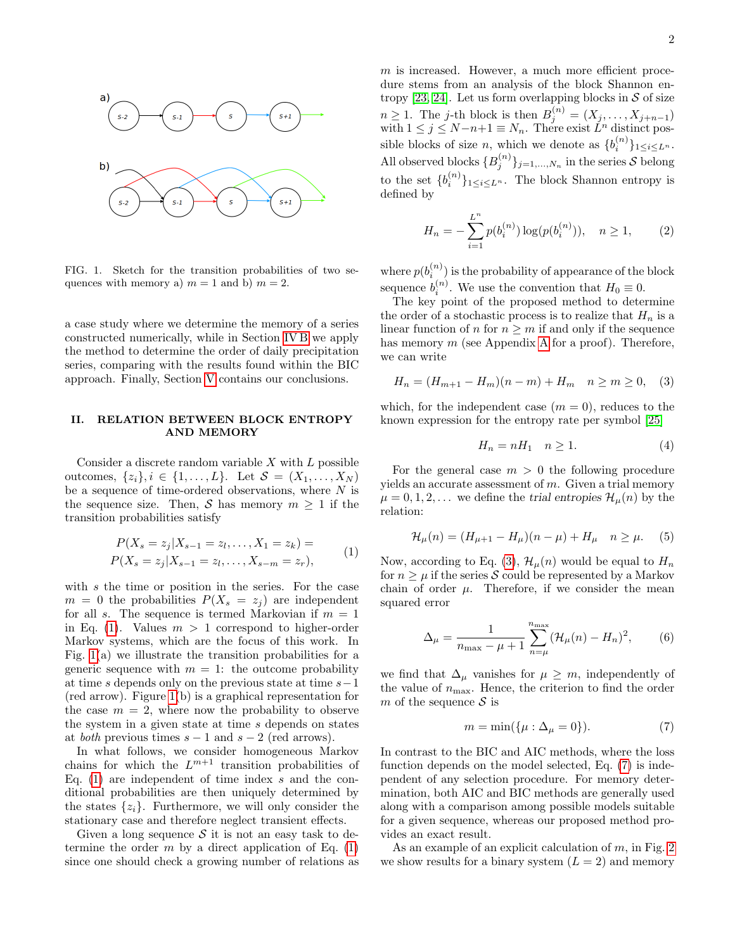

<span id="page-1-2"></span>FIG. 1. Sketch for the transition probabilities of two sequences with memory a)  $m = 1$  and b)  $m = 2$ .

a case study where we determine the memory of a series constructed numerically, while in Section [IV B](#page-6-0) we apply the method to determine the order of daily precipitation series, comparing with the results found within the BIC approach. Finally, Section [V](#page-6-1) contains our conclusions.

#### <span id="page-1-0"></span>II. RELATION BETWEEN BLOCK ENTROPY AND MEMORY

Consider a discrete random variable  $X$  with  $L$  possible outcomes,  $\{z_i\}, i \in \{1, ..., L\}$ . Let  $S = (X_1, ..., X_N)$ be a sequence of time-ordered observations, where N is the sequence size. Then, S has memory  $m \geq 1$  if the transition probabilities satisfy

$$
P(X_s = z_j | X_{s-1} = z_l, ..., X_1 = z_k) =
$$
  
\n
$$
P(X_s = z_j | X_{s-1} = z_l, ..., X_{s-m} = z_r),
$$
\n(1)

<span id="page-1-1"></span>with s the time or position in the series. For the case  $m = 0$  the probabilities  $P(X_s = z_j)$  are independent for all s. The sequence is termed Markovian if  $m = 1$ in Eq. [\(1\)](#page-1-1). Values  $m > 1$  correspond to higher-order Markov systems, which are the focus of this work. In Fig. [1\(](#page-1-2)a) we illustrate the transition probabilities for a generic sequence with  $m = 1$ : the outcome probability at time s depends only on the previous state at time  $s-1$ (red arrow). Figure [1\(](#page-1-2)b) is a graphical representation for the case  $m = 2$ , where now the probability to observe the system in a given state at time  $s$  depends on states at *both* previous times  $s - 1$  and  $s - 2$  (red arrows).

In what follows, we consider homogeneous Markov chains for which the  $L^{m+1}$  transition probabilities of Eq.  $(1)$  are independent of time index s and the conditional probabilities are then uniquely determined by the states  $\{z_i\}$ . Furthermore, we will only consider the stationary case and therefore neglect transient effects.

Given a long sequence  $S$  it is not an easy task to determine the order m by a direct application of Eq.  $(1)$ since one should check a growing number of relations as  $m$  is increased. However, a much more efficient procedure stems from an analysis of the block Shannon en-tropy [\[23,](#page-7-22) [24\]](#page-7-23). Let us form overlapping blocks in  $S$  of size  $n \geq 1$ . The j-th block is then  $B_j^{(n)} = (X_j, \ldots, X_{j+n-1})$ with  $1 \leq j \leq N-n+1 \equiv N_n$ . There exist  $\check{L}^n$  distinct possible blocks of size *n*, which we denote as  ${b_i^{(n)}}_{1 \le i \le L^n}$ . All observed blocks  $\{B_j^{(n)}\}_{j=1,\ldots,N_n}$  in the series S belong to the set  $\{b_i^{(n)}\}_{1 \leq i \leq L^n}$ . The block Shannon entropy is defined by

<span id="page-1-7"></span>
$$
H_n = -\sum_{i=1}^{L^n} p(b_i^{(n)}) \log(p(b_i^{(n)})), \quad n \ge 1,
$$
 (2)

where  $p(b_i^{(n)})$  is the probability of appearance of the block sequence  $b_i^{(n)}$ . We use the convention that  $H_0 \equiv 0$ .

The key point of the proposed method to determine the order of a stochastic process is to realize that  $H_n$  is a linear function of n for  $n \geq m$  if and only if the sequence has memory  $m$  (see [A](#page-8-0)ppendix A for a proof). Therefore, we can write

<span id="page-1-3"></span>
$$
H_n = (H_{m+1} - H_m)(n - m) + H_m \quad n \ge m \ge 0, \quad (3)
$$

which, for the independent case  $(m = 0)$ , reduces to the known expression for the entropy rate per symbol [\[25\]](#page-7-24)

$$
H_n = nH_1 \quad n \ge 1. \tag{4}
$$

For the general case  $m > 0$  the following procedure yields an accurate assessment of  $m$ . Given a trial memory  $\mu = 0, 1, 2, \dots$  we define the trial entropies  $\mathcal{H}_{\mu}(n)$  by the relation:

<span id="page-1-5"></span>
$$
\mathcal{H}_{\mu}(n) = (H_{\mu+1} - H_{\mu})(n - \mu) + H_{\mu} \quad n \ge \mu. \tag{5}
$$

Now, according to Eq. [\(3\)](#page-1-3),  $\mathcal{H}_{\mu}(n)$  would be equal to  $H_n$ for  $n \geq \mu$  if the series S could be represented by a Markov chain of order  $\mu$ . Therefore, if we consider the mean squared error

<span id="page-1-6"></span>
$$
\Delta_{\mu} = \frac{1}{n_{\text{max}} - \mu + 1} \sum_{n = \mu}^{n_{\text{max}}} (\mathcal{H}_{\mu}(n) - H_n)^2, \qquad (6)
$$

we find that  $\Delta_{\mu}$  vanishes for  $\mu \geq m$ , independently of the value of  $n_{\text{max}}$ . Hence, the criterion to find the order m of the sequence  $\mathcal S$  is

<span id="page-1-4"></span>
$$
m = \min(\{\mu : \Delta_{\mu} = 0\}).\tag{7}
$$

In contrast to the BIC and AIC methods, where the loss function depends on the model selected, Eq. [\(7\)](#page-1-4) is independent of any selection procedure. For memory determination, both AIC and BIC methods are generally used along with a comparison among possible models suitable for a given sequence, whereas our proposed method provides an exact result.

As an example of an explicit calculation of  $m$ , in Fig. [2](#page-2-1) we show results for a binary system  $(L = 2)$  and memory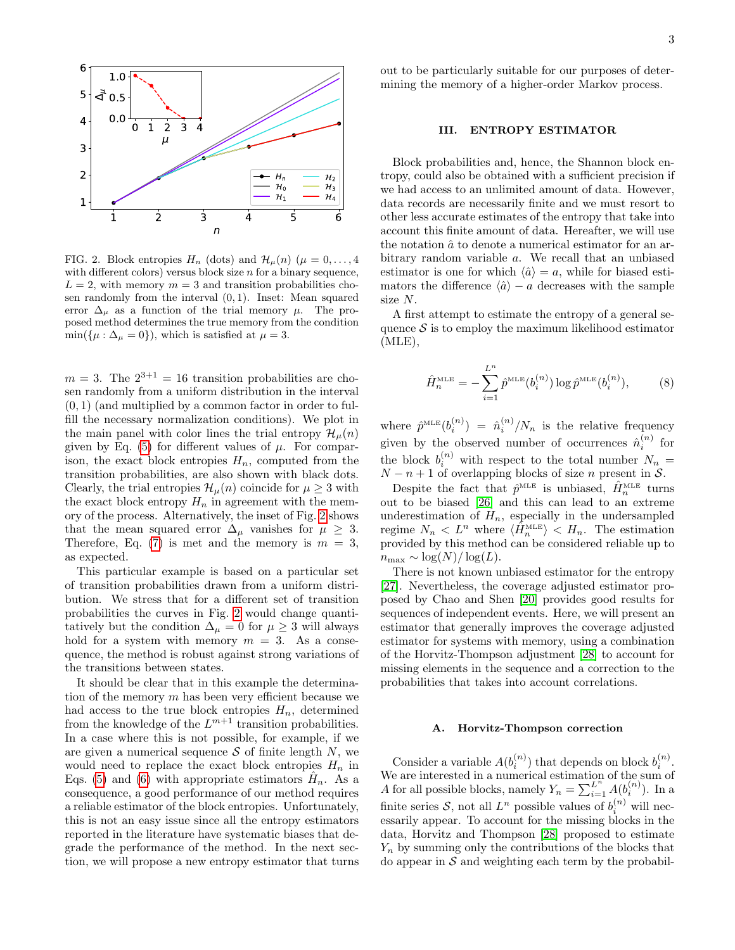

<span id="page-2-1"></span>FIG. 2. Block entropies  $H_n$  (dots) and  $\mathcal{H}_\mu(n)$  ( $\mu = 0, \ldots, 4$ with different colors) versus block size  $n$  for a binary sequence,  $L = 2$ , with memory  $m = 3$  and transition probabilities chosen randomly from the interval  $(0, 1)$ . Inset: Mean squared error  $\Delta_{\mu}$  as a function of the trial memory  $\mu$ . The proposed method determines the true memory from the condition  $min({\mu : \Delta_{\mu} = 0})$ , which is satisfied at  $\mu = 3$ .

 $m = 3$ . The  $2^{3+1} = 16$  transition probabilities are chosen randomly from a uniform distribution in the interval  $(0, 1)$  (and multiplied by a common factor in order to fulfill the necessary normalization conditions). We plot in the main panel with color lines the trial entropy  $\mathcal{H}_{\mu}(n)$ given by Eq.  $(5)$  for different values of  $\mu$ . For comparison, the exact block entropies  $H_n$ , computed from the transition probabilities, are also shown with black dots. Clearly, the trial entropies  $\mathcal{H}_{\mu}(n)$  coincide for  $\mu \geq 3$  with the exact block entropy  $H_n$  in agreement with the memory of the process. Alternatively, the inset of Fig. [2](#page-2-1) shows that the mean squared error  $\Delta_{\mu}$  vanishes for  $\mu \geq 3$ . Therefore, Eq.  $(7)$  is met and the memory is  $m = 3$ , as expected.

This particular example is based on a particular set of transition probabilities drawn from a uniform distribution. We stress that for a different set of transition probabilities the curves in Fig. [2](#page-2-1) would change quantitatively but the condition  $\Delta_{\mu} = 0$  for  $\mu \geq 3$  will always hold for a system with memory  $m = 3$ . As a consequence, the method is robust against strong variations of the transitions between states.

It should be clear that in this example the determination of the memory  $m$  has been very efficient because we had access to the true block entropies  $H_n$ , determined from the knowledge of the  $L^{m+1}$  transition probabilities. In a case where this is not possible, for example, if we are given a numerical sequence  $S$  of finite length  $N$ , we would need to replace the exact block entropies  $H_n$  in Eqs. [\(5\)](#page-1-5) and [\(6\)](#page-1-6) with appropriate estimators  $\hat{H}_n$ . As a consequence, a good performance of our method requires a reliable estimator of the block entropies. Unfortunately, this is not an easy issue since all the entropy estimators reported in the literature have systematic biases that degrade the performance of the method. In the next section, we will propose a new entropy estimator that turns

out to be particularly suitable for our purposes of determining the memory of a higher-order Markov process.

### <span id="page-2-0"></span>III. ENTROPY ESTIMATOR

Block probabilities and, hence, the Shannon block entropy, could also be obtained with a sufficient precision if we had access to an unlimited amount of data. However, data records are necessarily finite and we must resort to other less accurate estimates of the entropy that take into account this finite amount of data. Hereafter, we will use the notation  $\hat{a}$  to denote a numerical estimator for an arbitrary random variable a. We recall that an unbiased estimator is one for which  $\langle \hat{a} \rangle = a$ , while for biased estimators the difference  $\langle \hat{a} \rangle - a$  decreases with the sample size N.

A first attempt to estimate the entropy of a general sequence  $S$  is to employ the maximum likelihood estimator  $(MLE)$ ,

<span id="page-2-2"></span>
$$
\hat{H}_n^{\text{MLE}} = -\sum_{i=1}^{L^n} \hat{p}^{\text{MLE}}(b_i^{(n)}) \log \hat{p}^{\text{MLE}}(b_i^{(n)}), \tag{8}
$$

where  $\hat{p}^{\text{MLE}}(b_i^{(n)}) = \hat{n}_i^{(n)}/N_n$  is the relative frequency given by the observed number of occurrences  $\hat{n}_i^{(n)}$  for the block  $b_i^{(n)}$  with respect to the total number  $N_n =$  $N - n + 1$  of overlapping blocks of size n present in S.

Despite the fact that  $\hat{p}^{\text{MLE}}$  is unbiased,  $\hat{H}_n^{\text{MLE}}$  turns out to be biased [\[26\]](#page-7-25) and this can lead to an extreme underestimation of  $H_n$ , especially in the undersampled regime  $N_n < L^n$  where  $\langle \hat{H}_n^{\text{MLE}} \rangle < H_n$ . The estimation provided by this method can be considered reliable up to  $n_{\text{max}} \sim \log(N)/\log(L).$ 

There is not known unbiased estimator for the entropy [\[27\]](#page-7-26). Nevertheless, the coverage adjusted estimator proposed by Chao and Shen [\[20\]](#page-7-19) provides good results for sequences of independent events. Here, we will present an estimator that generally improves the coverage adjusted estimator for systems with memory, using a combination of the Horvitz-Thompson adjustment [\[28\]](#page-7-27) to account for missing elements in the sequence and a correction to the probabilities that takes into account correlations.

#### A. Horvitz-Thompson correction

Consider a variable  $A(b_i^{(n)})$  that depends on block  $b_i^{(n)}$ . We are interested in a numerical estimation of the sum of A for all possible blocks, namely  $Y_n = \sum_{i=1}^{L^n} A(b_i^{(n)})$ . In a finite series  $S$ , not all  $L^n$  possible values of  $b_i^{(n)}$  will necessarily appear. To account for the missing blocks in the data, Horvitz and Thompson [\[28\]](#page-7-27) proposed to estimate  $Y_n$  by summing only the contributions of the blocks that do appear in  $S$  and weighting each term by the probabil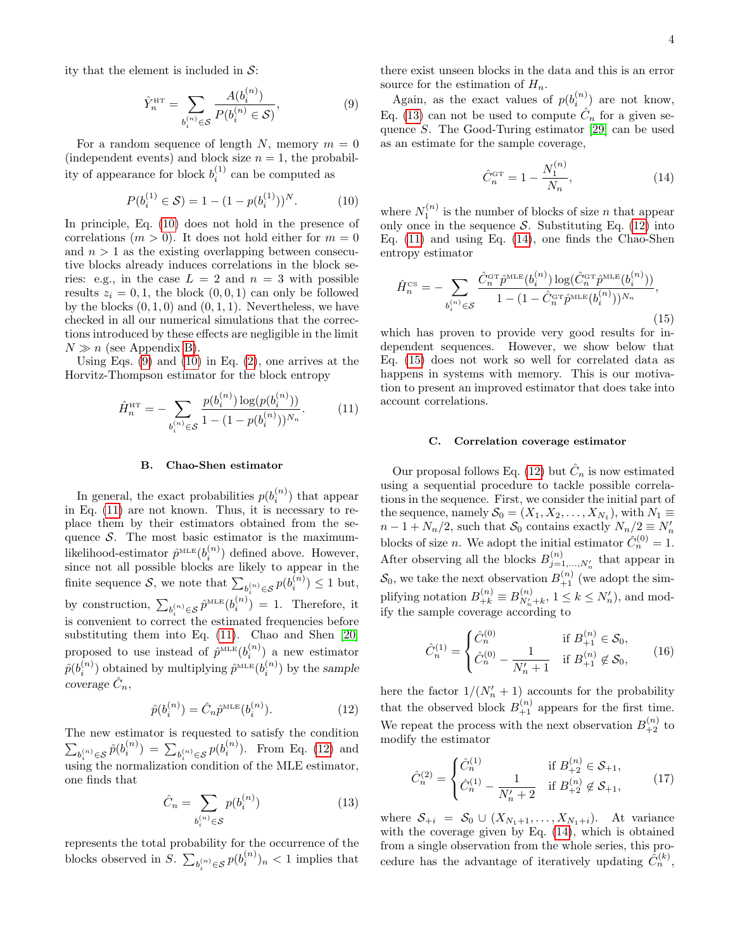ity that the element is included in  $S$ :

<span id="page-3-1"></span>
$$
\hat{Y}_n^{\text{HT}} = \sum_{b_i^{(n)} \in \mathcal{S}} \frac{A(b_i^{(n)})}{P(b_i^{(n)} \in \mathcal{S})},\tag{9}
$$

For a random sequence of length N, memory  $m = 0$ (independent events) and block size  $n = 1$ , the probability of appearance for block  $b_i^{(1)}$  can be computed as

<span id="page-3-0"></span>
$$
P(b_i^{(1)} \in S) = 1 - (1 - p(b_i^{(1)}))^N.
$$
 (10)

In principle, Eq. [\(10\)](#page-3-0) does not hold in the presence of correlations  $(m > 0)$ . It does not hold either for  $m = 0$ and  $n > 1$  as the existing overlapping between consecutive blocks already induces correlations in the block series: e.g., in the case  $L = 2$  and  $n = 3$  with possible results  $z_i = 0, 1$ , the block  $(0, 0, 1)$  can only be followed by the blocks  $(0, 1, 0)$  and  $(0, 1, 1)$ . Nevertheless, we have checked in all our numerical simulations that the corrections introduced by these effects are negligible in the limit  $N \gg n$  (see Appendix [B\)](#page-9-0).

Using Eqs.  $(9)$  and  $(10)$  in Eq.  $(2)$ , one arrives at the Horvitz-Thompson estimator for the block entropy

<span id="page-3-2"></span>
$$
\hat{H}_n^{\text{HT}} = -\sum_{b_i^{(n)} \in \mathcal{S}} \frac{p(b_i^{(n)}) \log(p(b_i^{(n)}))}{1 - (1 - p(b_i^{(n)}))^{N_n}}.
$$
(11)

#### B. Chao-Shen estimator

In general, the exact probabilities  $p(b_i^{(n)})$  that appear in Eq. [\(11\)](#page-3-2) are not known. Thus, it is necessary to replace them by their estimators obtained from the sequence  $S$ . The most basic estimator is the maximumlikelihood-estimator  $\hat{p}^{\text{MLE}}(b_i^{(n)})$  defined above. However, since not all possible blocks are likely to appear in the finite sequence  $S$ , we note that  $\sum_{b_i^{(n)} \in S} p(b_i^{(n)}) \leq 1$  but, by construction,  $\sum_{b_i^{(n)} \in S} \hat{p}^{\text{MLE}}(b_i^{(n)}) = 1$ . Therefore, it is convenient to correct the estimated frequencies before substituting them into Eq. [\(11\)](#page-3-2). Chao and Shen [\[20\]](#page-7-19) proposed to use instead of  $\hat{p}^{\text{MLE}}(b_i^{(n)})$  a new estimator  $\hat{p}(b_i^{(n)})$  obtained by multiplying  $\hat{p}^{\textnormal{\tiny{MLE}}}(b_i^{(n)})$  by the sample  $coverage\ \hat{C}_n,$ 

<span id="page-3-3"></span>
$$
\hat{p}(b_i^{(n)}) = \hat{C}_n \hat{p}^{\text{MLE}}(b_i^{(n)}).
$$
\n(12)

The new estimator is requested to satisfy the condition  $\sum_{b_i^{(n)} \in S} \hat{p}(b_i^{(n)}) = \sum_{b_i^{(n)} \in S} p(b_i^{(n)})$ . From Eq. [\(12\)](#page-3-3) and using the normalization condition of the MLE estimator, one finds that

<span id="page-3-4"></span>
$$
\hat{C}_n = \sum_{b_i^{(n)} \in \mathcal{S}} p(b_i^{(n)}) \tag{13}
$$

represents the total probability for the occurrence of the blocks observed in S.  $\sum_{b_i^{(n)} \in S} p(b_i^{(n)})_n < 1$  implies that there exist unseen blocks in the data and this is an error source for the estimation of  $H_n$ .

Again, as the exact values of  $p(b_i^{(n)})$  are not know, Eq. [\(13\)](#page-3-4) can not be used to compute  $\hat{C}_n$  for a given sequence S. The Good-Turing estimator [\[29\]](#page-7-28) can be used as an estimate for the sample coverage,

<span id="page-3-5"></span>
$$
\hat{C}_n^{\text{GT}} = 1 - \frac{N_1^{(n)}}{N_n},\tag{14}
$$

where  $N_1^{(n)}$  is the number of blocks of size n that appear only once in the sequence  $\mathcal{S}$ . Substituting Eq. [\(12\)](#page-3-3) into Eq. [\(11\)](#page-3-2) and using Eq. [\(14\)](#page-3-5), one finds the Chao-Shen entropy estimator

<span id="page-3-6"></span>
$$
\hat{H}_n^{\text{CS}} = -\sum_{b_i^{(n)} \in \mathcal{S}} \frac{\hat{C}_n^{\text{GT}} \hat{p}^{\text{MLE}}(b_i^{(n)}) \log(\hat{C}_n^{\text{GT}} \hat{p}^{\text{MLE}}(b_i^{(n)}))}{1 - (1 - \hat{C}_n^{\text{GT}} \hat{p}^{\text{MLE}}(b_i^{(n)}))^{N_n}},
$$
\n(15)

which has proven to provide very good results for independent sequences. However, we show below that Eq. [\(15\)](#page-3-6) does not work so well for correlated data as happens in systems with memory. This is our motivation to present an improved estimator that does take into account correlations.

## C. Correlation coverage estimator

Our proposal follows Eq. [\(12\)](#page-3-3) but  $\hat{C}_n$  is now estimated using a sequential procedure to tackle possible correlations in the sequence. First, we consider the initial part of the sequence, namely  $S_0 = (X_1, X_2, \ldots, X_{N_1})$ , with  $N_1 \equiv$  $n-1+N_n/2$ , such that  $S_0$  contains exactly  $N_n/2 \equiv N'_n$ blocks of size *n*. We adopt the initial estimator  $\hat{C}_n^{(0)} = 1$ . After observing all the blocks  $B_{j=1,...,N'_{n}}^{(n)}$  that appear in  $S_0$ , we take the next observation  $B_{+1}^{(n)}$  (we adopt the simplifying notation  $B_{+k}^{(n)} \equiv B_{N'_n+k}^{(n)}$ ,  $1 \le k \le N'_n$ , and modify the sample coverage according to

$$
\hat{C}_n^{(1)} = \begin{cases}\n\hat{C}_n^{(0)} & \text{if } B_{+1}^{(n)} \in \mathcal{S}_0, \\
\hat{C}_n^{(0)} - \frac{1}{N_n' + 1} & \text{if } B_{+1}^{(n)} \notin \mathcal{S}_0,\n\end{cases}
$$
(16)

here the factor  $1/(N'_n + 1)$  accounts for the probability that the observed block  $B_{+1}^{(n)}$  appears for the first time. We repeat the process with the next observation  $B_{+2}^{(n)}$  to modify the estimator

$$
\hat{C}_n^{(2)} = \begin{cases}\n\hat{C}_n^{(1)} & \text{if } B_{+2}^{(n)} \in \mathcal{S}_{+1}, \\
\hat{C}_n^{(1)} - \frac{1}{N_n' + 2} & \text{if } B_{+2}^{(n)} \notin \mathcal{S}_{+1},\n\end{cases}
$$
\n(17)

where  $S_{+i} = S_0 \cup (X_{N_1+1}, \ldots, X_{N_1+i})$ . At variance with the coverage given by Eq. [\(14\)](#page-3-5), which is obtained from a single observation from the whole series, this procedure has the advantage of iteratively updating  $\hat{C}_n^{(k)}$ ,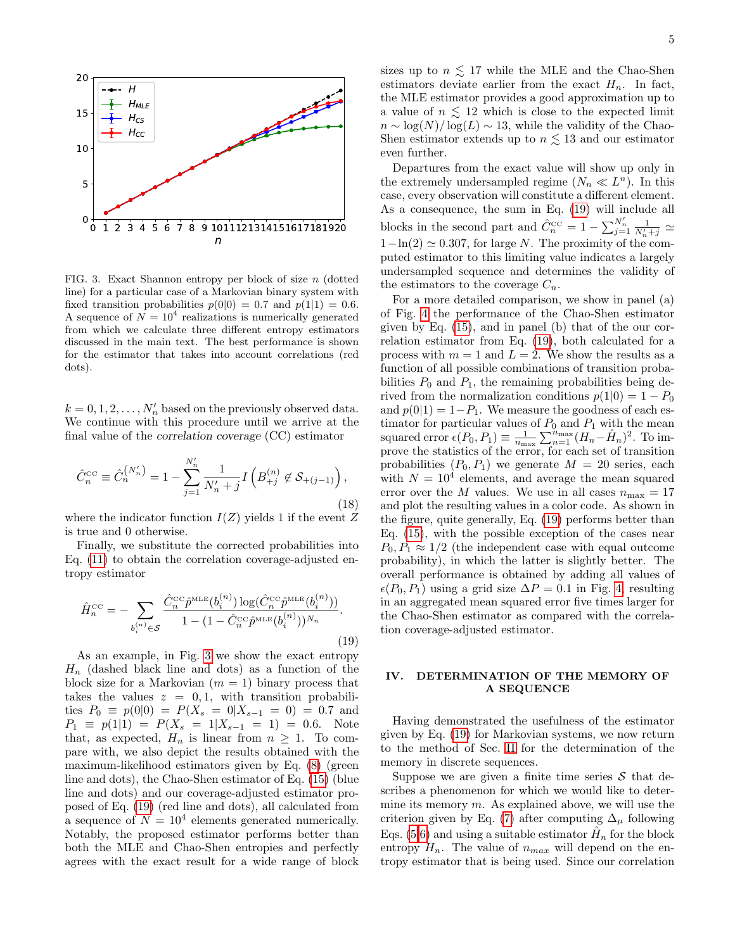

<span id="page-4-0"></span>FIG. 3. Exact Shannon entropy per block of size n (dotted line) for a particular case of a Markovian binary system with fixed transition probabilities  $p(0|0) = 0.7$  and  $p(1|1) = 0.6$ . A sequence of  $N = 10<sup>4</sup>$  realizations is numerically generated from which we calculate three different entropy estimators discussed in the main text. The best performance is shown for the estimator that takes into account correlations (red dots).

 $k = 0, 1, 2, \ldots, N'_n$  based on the previously observed data. We continue with this procedure until we arrive at the final value of the correlation coverage (CC) estimator

$$
\hat{C}_{n}^{\text{CC}} \equiv \hat{C}_{n}^{(N'_{n})} = 1 - \sum_{j=1}^{N'_{n}} \frac{1}{N'_{n} + j} I\left(B_{+j}^{(n)} \notin \mathcal{S}_{+(j-1)}\right),\tag{18}
$$

where the indicator function  $I(Z)$  yields 1 if the event Z is true and 0 otherwise.

Finally, we substitute the corrected probabilities into Eq. [\(11\)](#page-3-2) to obtain the correlation coverage-adjusted entropy estimator

<span id="page-4-1"></span>
$$
\hat{H}_n^{\text{CC}} = -\sum_{b_i^{(n)} \in \mathcal{S}} \frac{\hat{C}_n^{\text{CC}} \hat{p}^{\text{MLE}}(b_i^{(n)}) \log(\hat{C}_n^{\text{CC}} \hat{p}^{\text{MLE}}(b_i^{(n)}))}{1 - (1 - \hat{C}_n^{\text{CC}} \hat{p}^{\text{MLE}}(b_i^{(n)}))^{N_n}}.
$$
\n(19)

As an example, in Fig. [3](#page-4-0) we show the exact entropy  $H_n$  (dashed black line and dots) as a function of the block size for a Markovian  $(m = 1)$  binary process that takes the values  $z = 0, 1$ , with transition probabilities  $P_0 \equiv p(0|0) = P(X_s = 0|X_{s-1} = 0) = 0.7$  and  $P_1 \equiv p(1|1) = P(X_s = 1|X_{s-1} = 1) = 0.6$ . Note that, as expected,  $H_n$  is linear from  $n \geq 1$ . To compare with, we also depict the results obtained with the maximum-likelihood estimators given by Eq. [\(8\)](#page-2-2) (green line and dots), the Chao-Shen estimator of Eq. [\(15\)](#page-3-6) (blue line and dots) and our coverage-adjusted estimator proposed of Eq. [\(19\)](#page-4-1) (red line and dots), all calculated from a sequence of  $N = 10^4$  elements generated numerically. Notably, the proposed estimator performs better than both the MLE and Chao-Shen entropies and perfectly agrees with the exact result for a wide range of block

sizes up to  $n \leq 17$  while the MLE and the Chao-Shen estimators deviate earlier from the exact  $H_n$ . In fact, the MLE estimator provides a good approximation up to a value of  $n \leq 12$  which is close to the expected limit  $n \sim \log(N)/\log(L) \sim 13$ , while the validity of the Chao-Shen estimator extends up to  $n \leq 13$  and our estimator even further.

Departures from the exact value will show up only in the extremely undersampled regime  $(N_n \ll L^n)$ . In this case, every observation will constitute a different element. As a consequence, the sum in Eq. [\(19\)](#page-4-1) will include all blocks in the second part and  $\hat{C}_n^{\text{cc}} = 1 - \sum_{j=1}^{N_n'} \frac{1}{N_n'+j} \simeq$  $1-\ln(2) \simeq 0.307$ , for large N. The proximity of the computed estimator to this limiting value indicates a largely undersampled sequence and determines the validity of the estimators to the coverage  $C_n$ .

For a more detailed comparison, we show in panel (a) of Fig. [4](#page-5-1) the performance of the Chao-Shen estimator given by Eq. [\(15\)](#page-3-6), and in panel (b) that of the our correlation estimator from Eq. [\(19\)](#page-4-1), both calculated for a process with  $m = 1$  and  $L = 2$ . We show the results as a function of all possible combinations of transition probabilities  $P_0$  and  $P_1$ , the remaining probabilities being derived from the normalization conditions  $p(1|0) = 1 - P_0$ and  $p(0|1) = 1-P_1$ . We measure the goodness of each estimator for particular values of  $P_0$  and  $P_1$  with the mean squared error  $\epsilon(P_0, P_1) \equiv \frac{1}{n_{\text{max}}} \sum_{n=1}^{n_{\text{max}}} (H_n - \hat{H}_n)^2$ . To improve the statistics of the error, for each set of transition probabilities  $(P_0, P_1)$  we generate  $M = 20$  series, each with  $N = 10<sup>4</sup>$  elements, and average the mean squared error over the M values. We use in all cases  $n_{\text{max}} = 17$ and plot the resulting values in a color code. As shown in the figure, quite generally, Eq. [\(19\)](#page-4-1) performs better than Eq. [\(15\)](#page-3-6), with the possible exception of the cases near  $P_0, P_1 \approx 1/2$  (the independent case with equal outcome probability), in which the latter is slightly better. The overall performance is obtained by adding all values of  $\epsilon(P_0, P_1)$  using a grid size  $\Delta P = 0.1$  in Fig. [4,](#page-5-1) resulting in an aggregated mean squared error five times larger for the Chao-Shen estimator as compared with the correlation coverage-adjusted estimator.

## IV. DETERMINATION OF THE MEMORY OF A SEQUENCE

Having demonstrated the usefulness of the estimator given by Eq. [\(19\)](#page-4-1) for Markovian systems, we now return to the method of Sec. [II](#page-1-0) for the determination of the memory in discrete sequences.

Suppose we are given a finite time series  $S$  that describes a phenomenon for which we would like to determine its memory  $m$ . As explained above, we will use the criterion given by Eq. [\(7\)](#page-1-4) after computing  $\Delta_{\mu}$  following Eqs. [\(5,](#page-1-5)[6\)](#page-1-6) and using a suitable estimator  $\hat{H}_n$  for the block entropy  $H_n$ . The value of  $n_{max}$  will depend on the entropy estimator that is being used. Since our correlation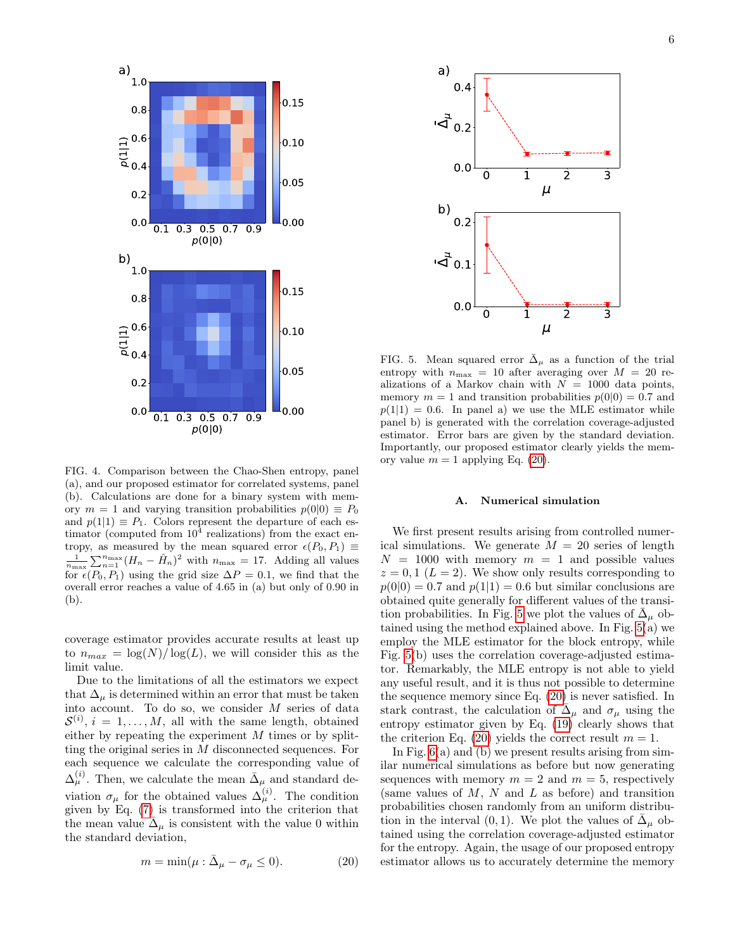

<span id="page-5-1"></span>FIG. 4. Comparison between the Chao-Shen entropy, panel (a), and our proposed estimator for correlated systems, panel (b). Calculations are done for a binary system with memory  $m = 1$  and varying transition probabilities  $p(0|0) \equiv P_0$ and  $p(1|1) \equiv P_1$ . Colors represent the departure of each estimator (computed from  $10^4$  realizations) from the exact entropy, as measured by the mean squared error  $\epsilon(P_0, P_1) \equiv$  $\frac{1}{n_{\text{max}}}\sum_{n=1}^{n_{\text{max}}}(H_n - \hat{H}_n)^2$  with  $n_{\text{max}} = 17$ . Adding all values for  $\epsilon(P_0, P_1)$  using the grid size  $\Delta P = 0.1$ , we find that the overall error reaches a value of 4.65 in (a) but only of 0.90 in (b).

coverage estimator provides accurate results at least up to  $n_{max} = \log(N)/\log(L)$ , we will consider this as the limit value.

Due to the limitations of all the estimators we expect that  $\Delta_{\mu}$  is determined within an error that must be taken into account. To do so, we consider M series of data  $\mathcal{S}^{(i)}$ ,  $i = 1, ..., M$ , all with the same length, obtained either by repeating the experiment  $M$  times or by splitting the original series in M disconnected sequences. For each sequence we calculate the corresponding value of  $\Delta_{\mu}^{(i)}$ . Then, we calculate the mean  $\bar{\Delta}_{\mu}$  and standard deviation  $\sigma_{\mu}$  for the obtained values  $\Delta_{\mu}^{(i)}$ . The condition given by Eq. [\(7\)](#page-1-4) is transformed into the criterion that the mean value  $\bar{\Delta}_{\mu}$  is consistent with the value 0 within the standard deviation,

<span id="page-5-2"></span>
$$
m = \min(\mu : \bar{\Delta}_{\mu} - \sigma_{\mu} \le 0). \tag{20}
$$



<span id="page-5-3"></span>FIG. 5. Mean squared error  $\Delta_{\mu}$  as a function of the trial entropy with  $n_{\text{max}} = 10$  after averaging over  $M = 20$  realizations of a Markov chain with  $N = 1000$  data points, memory  $m = 1$  and transition probabilities  $p(0|0) = 0.7$  and  $p(1|1) = 0.6$ . In panel a) we use the MLE estimator while panel b) is generated with the correlation coverage-adjusted estimator. Error bars are given by the standard deviation. Importantly, our proposed estimator clearly yields the memory value  $m = 1$  applying Eq. [\(20\)](#page-5-2).

# <span id="page-5-0"></span>A. Numerical simulation

We first present results arising from controlled numerical simulations. We generate  $M = 20$  series of length  $N = 1000$  with memory  $m = 1$  and possible values  $z = 0, 1 \ (L = 2)$ . We show only results corresponding to  $p(0|0) = 0.7$  and  $p(1|1) = 0.6$  but similar conclusions are obtained quite generally for different values of the transi-tion probabilities. In Fig. [5](#page-5-3) we plot the values of  $\bar{\Delta}_{\mu}$  obtained using the method explained above. In Fig. [5\(](#page-5-3)a) we employ the MLE estimator for the block entropy, while Fig. [5\(](#page-5-3)b) uses the correlation coverage-adjusted estimator. Remarkably, the MLE entropy is not able to yield any useful result, and it is thus not possible to determine the sequence memory since Eq. [\(20\)](#page-5-2) is never satisfied. In stark contrast, the calculation of  $\tilde{\Delta}_{\mu}$  and  $\sigma_{\mu}$  using the entropy estimator given by Eq. [\(19\)](#page-4-1) clearly shows that the criterion Eq. [\(20\)](#page-5-2) yields the correct result  $m = 1$ .

In Fig.  $6(a)$  and (b) we present results arising from similar numerical simulations as before but now generating sequences with memory  $m = 2$  and  $m = 5$ , respectively (same values of  $M$ ,  $N$  and  $L$  as before) and transition probabilities chosen randomly from an uniform distribution in the interval (0, 1). We plot the values of  $\bar{\Delta}_{\mu}$  obtained using the correlation coverage-adjusted estimator for the entropy. Again, the usage of our proposed entropy estimator allows us to accurately determine the memory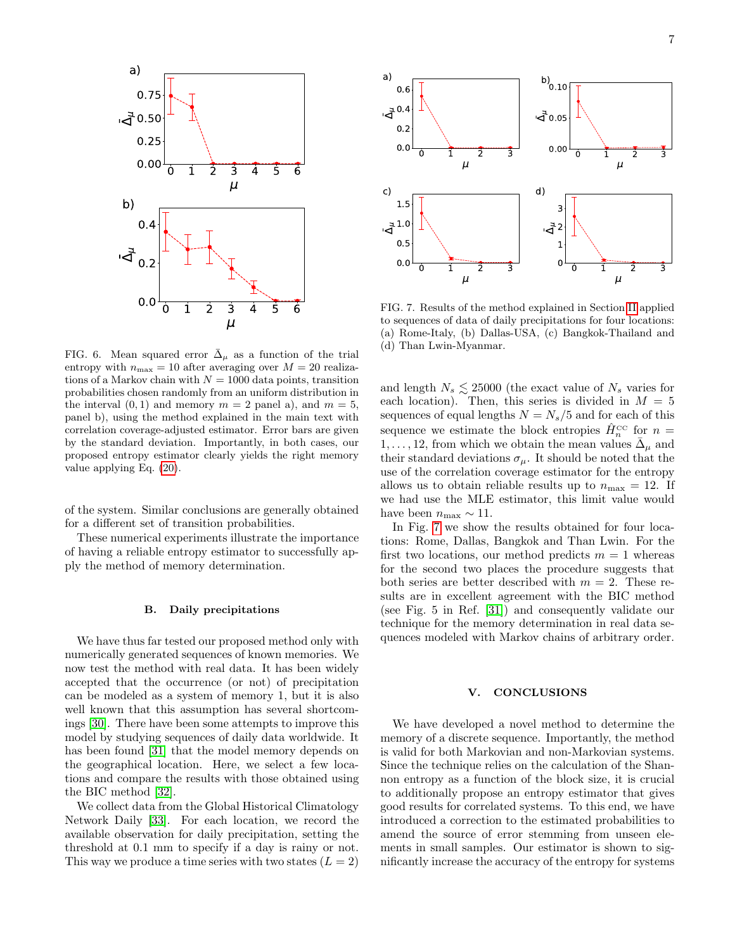

<span id="page-6-2"></span>FIG. 6. Mean squared error  $\bar{\Delta}_{\mu}$  as a function of the trial entropy with  $n_{\text{max}} = 10$  after averaging over  $M = 20$  realizations of a Markov chain with  $N = 1000$  data points, transition probabilities chosen randomly from an uniform distribution in the interval  $(0, 1)$  and memory  $m = 2$  panel a), and  $m = 5$ , panel b), using the method explained in the main text with correlation coverage-adjusted estimator. Error bars are given by the standard deviation. Importantly, in both cases, our proposed entropy estimator clearly yields the right memory value applying Eq. [\(20\)](#page-5-2).

of the system. Similar conclusions are generally obtained for a different set of transition probabilities.

These numerical experiments illustrate the importance of having a reliable entropy estimator to successfully apply the method of memory determination.

#### <span id="page-6-0"></span>B. Daily precipitations

We have thus far tested our proposed method only with numerically generated sequences of known memories. We now test the method with real data. It has been widely accepted that the occurrence (or not) of precipitation can be modeled as a system of memory 1, but it is also well known that this assumption has several shortcomings [\[30\]](#page-7-29). There have been some attempts to improve this model by studying sequences of daily data worldwide. It has been found [\[31\]](#page-8-1) that the model memory depends on the geographical location. Here, we select a few locations and compare the results with those obtained using the BIC method [\[32\]](#page-8-2).

We collect data from the Global Historical Climatology Network Daily [\[33\]](#page-8-3). For each location, we record the available observation for daily precipitation, setting the threshold at 0.1 mm to specify if a day is rainy or not. This way we produce a time series with two states  $(L = 2)$ 



<span id="page-6-3"></span>FIG. 7. Results of the method explained in Section [II](#page-1-0) applied to sequences of data of daily precipitations for four locations: (a) Rome-Italy, (b) Dallas-USA, (c) Bangkok-Thailand and (d) Than Lwin-Myanmar.

and length  $N_s \lesssim 25000$  (the exact value of  $N_s$  varies for each location). Then, this series is divided in  $M = 5$ sequences of equal lengths  $N = N_s/5$  and for each of this sequence we estimate the block entropies  $\hat{H}_n^{\text{cc}}$  for  $n =$  $1, \ldots, 12$ , from which we obtain the mean values  $\bar{\Delta}_{\mu}$  and their standard deviations  $\sigma_{\mu}$ . It should be noted that the use of the correlation coverage estimator for the entropy allows us to obtain reliable results up to  $n_{\text{max}} = 12$ . If we had use the MLE estimator, this limit value would have been  $n_{\text{max}} \sim 11$ .

In Fig. [7](#page-6-3) we show the results obtained for four locations: Rome, Dallas, Bangkok and Than Lwin. For the first two locations, our method predicts  $m = 1$  whereas for the second two places the procedure suggests that both series are better described with  $m = 2$ . These results are in excellent agreement with the BIC method (see Fig. 5 in Ref. [\[31\]](#page-8-1)) and consequently validate our technique for the memory determination in real data sequences modeled with Markov chains of arbitrary order.

# <span id="page-6-1"></span>V. CONCLUSIONS

We have developed a novel method to determine the memory of a discrete sequence. Importantly, the method is valid for both Markovian and non-Markovian systems. Since the technique relies on the calculation of the Shannon entropy as a function of the block size, it is crucial to additionally propose an entropy estimator that gives good results for correlated systems. To this end, we have introduced a correction to the estimated probabilities to amend the source of error stemming from unseen elements in small samples. Our estimator is shown to significantly increase the accuracy of the entropy for systems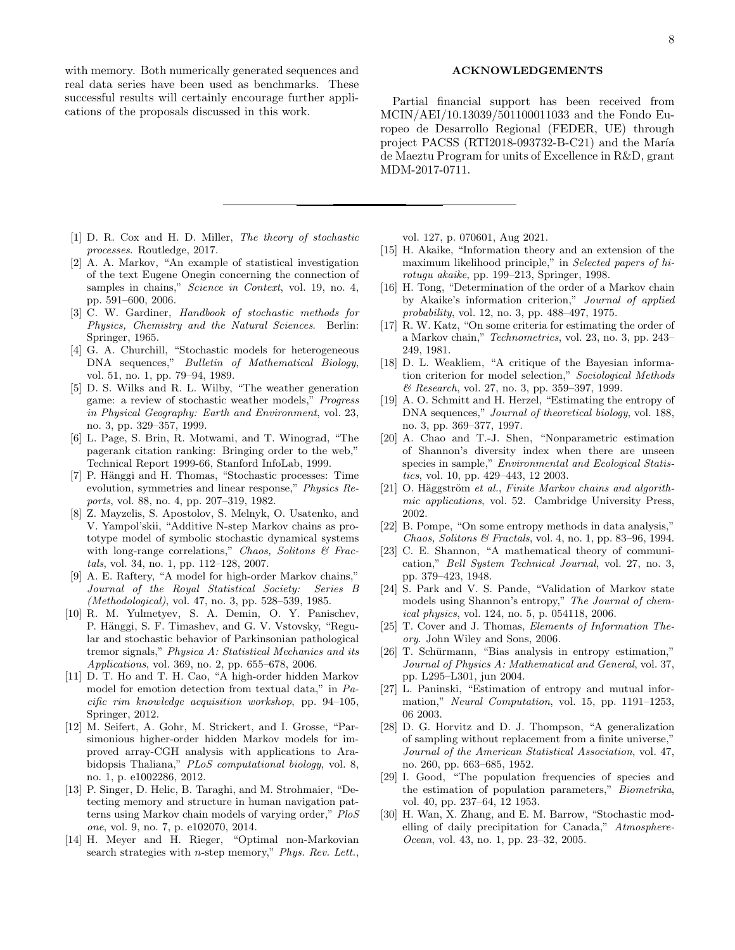with memory. Both numerically generated sequences and real data series have been used as benchmarks. These successful results will certainly encourage further applications of the proposals discussed in this work.

Partial financial support has been received from MCIN/AEI/10.13039/501100011033 and the Fondo Europeo de Desarrollo Regional (FEDER, UE) through project PACSS (RTI2018-093732-B-C21) and the María de Maeztu Program for units of Excellence in R&D, grant MDM-2017-0711.

- <span id="page-7-0"></span>[1] D. R. Cox and H. D. Miller, The theory of stochastic processes. Routledge, 2017.
- <span id="page-7-1"></span>[2] A. A. Markov, "An example of statistical investigation of the text Eugene Onegin concerning the connection of samples in chains," Science in Context, vol. 19, no. 4, pp. 591–600, 2006.
- <span id="page-7-2"></span>[3] C. W. Gardiner, Handbook of stochastic methods for Physics, Chemistry and the Natural Sciences. Berlin: Springer, 1965.
- <span id="page-7-3"></span>[4] G. A. Churchill, "Stochastic models for heterogeneous DNA sequences," Bulletin of Mathematical Biology, vol. 51, no. 1, pp. 79–94, 1989.
- <span id="page-7-4"></span>[5] D. S. Wilks and R. L. Wilby, "The weather generation game: a review of stochastic weather models," Progress in Physical Geography: Earth and Environment, vol. 23, no. 3, pp. 329–357, 1999.
- <span id="page-7-5"></span>[6] L. Page, S. Brin, R. Motwami, and T. Winograd, "The pagerank citation ranking: Bringing order to the web," Technical Report 1999-66, Stanford InfoLab, 1999.
- <span id="page-7-6"></span>[7] P. Hänggi and H. Thomas, "Stochastic processes: Time evolution, symmetries and linear response," Physics Reports, vol. 88, no. 4, pp. 207–319, 1982.
- <span id="page-7-7"></span>[8] Z. Mayzelis, S. Apostolov, S. Melnyk, O. Usatenko, and V. Yampol'skii, "Additive N-step Markov chains as prototype model of symbolic stochastic dynamical systems with long-range correlations," Chaos, Solitons  $\mathcal C$  Fractals, vol. 34, no. 1, pp. 112–128, 2007.
- <span id="page-7-8"></span>[9] A. E. Raftery, "A model for high-order Markov chains," Journal of the Royal Statistical Society: Series B (Methodological), vol. 47, no. 3, pp. 528–539, 1985.
- <span id="page-7-9"></span>[10] R. M. Yulmetyev, S. A. Demin, O. Y. Panischev, P. Hänggi, S. F. Timashev, and G. V. Vstovsky, "Regular and stochastic behavior of Parkinsonian pathological tremor signals," Physica A: Statistical Mechanics and its Applications, vol. 369, no. 2, pp. 655–678, 2006.
- <span id="page-7-10"></span>[11] D. T. Ho and T. H. Cao, "A high-order hidden Markov model for emotion detection from textual data," in Pacific rim knowledge acquisition workshop, pp. 94–105, Springer, 2012.
- <span id="page-7-11"></span>[12] M. Seifert, A. Gohr, M. Strickert, and I. Grosse, "Parsimonious higher-order hidden Markov models for improved array-CGH analysis with applications to Arabidopsis Thaliana," PLoS computational biology, vol. 8, no. 1, p. e1002286, 2012.
- <span id="page-7-12"></span>[13] P. Singer, D. Helic, B. Taraghi, and M. Strohmaier, "Detecting memory and structure in human navigation patterns using Markov chain models of varying order," PloS one, vol. 9, no. 7, p. e102070, 2014.
- <span id="page-7-13"></span>[14] H. Meyer and H. Rieger, "Optimal non-Markovian search strategies with *n*-step memory," Phys. Rev. Lett.,

vol. 127, p. 070601, Aug 2021.

- <span id="page-7-14"></span>[15] H. Akaike, "Information theory and an extension of the maximum likelihood principle," in Selected papers of hirotugu akaike, pp. 199–213, Springer, 1998.
- <span id="page-7-15"></span>[16] H. Tong, "Determination of the order of a Markov chain by Akaike's information criterion," Journal of applied probability, vol. 12, no. 3, pp. 488–497, 1975.
- <span id="page-7-16"></span>[17] R. W. Katz, "On some criteria for estimating the order of a Markov chain," Technometrics, vol. 23, no. 3, pp. 243– 249, 1981.
- <span id="page-7-17"></span>[18] D. L. Weakliem, "A critique of the Bayesian information criterion for model selection," Sociological Methods & Research, vol. 27, no. 3, pp. 359–397, 1999.
- <span id="page-7-18"></span>[19] A. O. Schmitt and H. Herzel, "Estimating the entropy of DNA sequences," Journal of theoretical biology, vol. 188, no. 3, pp. 369–377, 1997.
- <span id="page-7-19"></span>[20] A. Chao and T.-J. Shen, "Nonparametric estimation of Shannon's diversity index when there are unseen species in sample," Environmental and Ecological Statistics, vol. 10, pp. 429–443, 12 2003.
- <span id="page-7-20"></span>[21] O. Häggström et al., Finite Markov chains and algorithmic applications, vol. 52. Cambridge University Press, 2002.
- <span id="page-7-21"></span>[22] B. Pompe, "On some entropy methods in data analysis," Chaos, Solitons & Fractals, vol. 4, no. 1, pp. 83–96, 1994.
- <span id="page-7-22"></span>[23] C. E. Shannon, "A mathematical theory of communication," Bell System Technical Journal, vol. 27, no. 3, pp. 379–423, 1948.
- <span id="page-7-23"></span>[24] S. Park and V. S. Pande, "Validation of Markov state models using Shannon's entropy," The Journal of chemical physics, vol. 124, no. 5, p. 054118, 2006.
- <span id="page-7-24"></span>[25] T. Cover and J. Thomas, Elements of Information Theory. John Wiley and Sons, 2006.
- <span id="page-7-25"></span>[26] T. Schürmann, "Bias analysis in entropy estimation," Journal of Physics A: Mathematical and General, vol. 37, pp. L295–L301, jun 2004.
- <span id="page-7-26"></span>[27] L. Paninski, "Estimation of entropy and mutual information," Neural Computation, vol. 15, pp. 1191–1253, 06 2003.
- <span id="page-7-27"></span>[28] D. G. Horvitz and D. J. Thompson, "A generalization of sampling without replacement from a finite universe," Journal of the American Statistical Association, vol. 47, no. 260, pp. 663–685, 1952.
- <span id="page-7-28"></span>[29] I. Good, "The population frequencies of species and the estimation of population parameters," Biometrika, vol. 40, pp. 237–64, 12 1953.
- <span id="page-7-29"></span>[30] H. Wan, X. Zhang, and E. M. Barrow, "Stochastic modelling of daily precipitation for Canada," Atmosphere-Ocean, vol. 43, no. 1, pp. 23–32, 2005.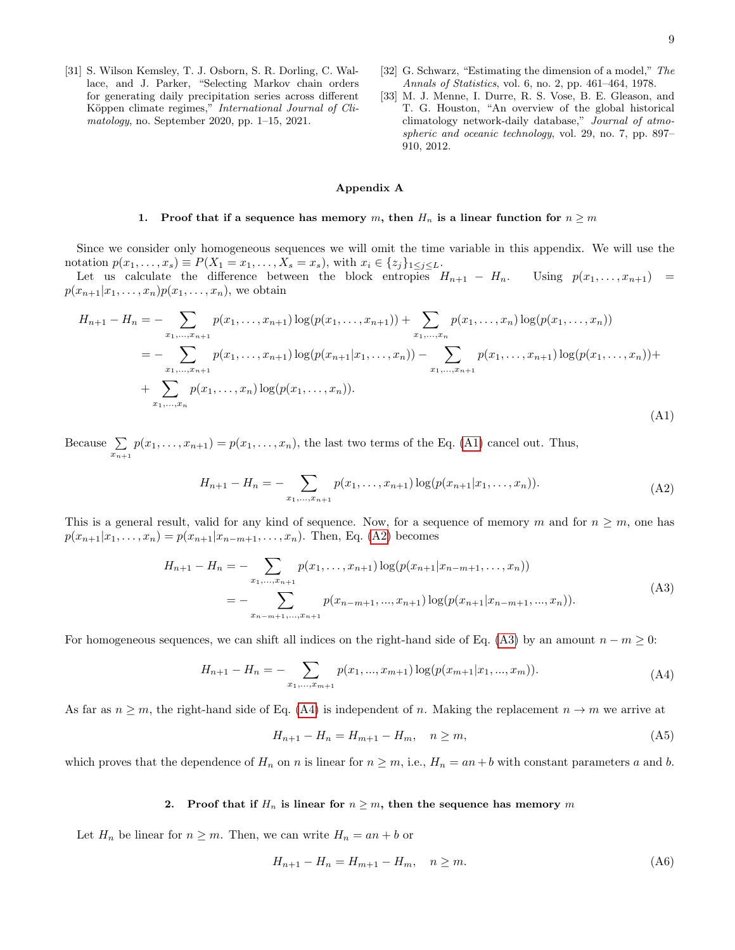- <span id="page-8-1"></span>[31] S. Wilson Kemsley, T. J. Osborn, S. R. Dorling, C. Wallace, and J. Parker, "Selecting Markov chain orders for generating daily precipitation series across different Köppen climate regimes," International Journal of Climatology, no. September 2020, pp. 1–15, 2021.
- <span id="page-8-2"></span>[32] G. Schwarz, "Estimating the dimension of a model," The Annals of Statistics, vol. 6, no. 2, pp. 461–464, 1978.
- <span id="page-8-3"></span>[33] M. J. Menne, I. Durre, R. S. Vose, B. E. Gleason, and T. G. Houston, "An overview of the global historical climatology network-daily database," Journal of atmospheric and oceanic technology, vol. 29, no. 7, pp. 897– 910, 2012.

# <span id="page-8-5"></span><span id="page-8-4"></span><span id="page-8-0"></span>Appendix A

### 1. Proof that if a sequence has memory m, then  $H_n$  is a linear function for  $n \geq m$

Since we consider only homogeneous sequences we will omit the time variable in this appendix. We will use the notation  $p(x_1,...,x_s) \equiv P(X_1 = x_1,...,X_s = x_s)$ , with  $x_i \in \{z_j\}_{1 \leq j \leq L}$ .

Let us calculate the difference between the block entropies  $H_{n+1} - H_n$ . Using  $p(x_1, \ldots, x_{n+1}) =$  $p(x_{n+1}|x_1,\ldots,x_n)p(x_1,\ldots,x_n)$ , we obtain

$$
H_{n+1} - H_n = - \sum_{x_1, \dots, x_{n+1}} p(x_1, \dots, x_{n+1}) \log(p(x_1, \dots, x_{n+1})) + \sum_{x_1, \dots, x_n} p(x_1, \dots, x_n) \log(p(x_1, \dots, x_n))
$$
  
= 
$$
- \sum_{x_1, \dots, x_{n+1}} p(x_1, \dots, x_{n+1}) \log(p(x_{n+1}|x_1, \dots, x_n)) - \sum_{x_1, \dots, x_{n+1}} p(x_1, \dots, x_{n+1}) \log(p(x_1, \dots, x_n)) + \sum_{x_1, \dots, x_n} p(x_1, \dots, x_n) \log(p(x_1, \dots, x_n)).
$$
  
(A1)

Because  $\Sigma$  $\sum_{x_{n+1}} p(x_1, \ldots, x_{n+1}) = p(x_1, \ldots, x_n)$ , the last two terms of the Eq. [\(A1\)](#page-8-4) cancel out. Thus,

$$
H_{n+1} - H_n = - \sum_{x_1, \dots, x_{n+1}} p(x_1, \dots, x_{n+1}) \log(p(x_{n+1}|x_1, \dots, x_n)).
$$
\n(A2)

This is a general result, valid for any kind of sequence. Now, for a sequence of memory m and for  $n \geq m$ , one has  $p(x_{n+1}|x_1,\ldots,x_n) = p(x_{n+1}|x_{n-m+1},\ldots,x_n)$ . Then, Eq. [\(A2\)](#page-8-5) becomes

$$
H_{n+1} - H_n = - \sum_{x_1, \dots, x_{n+1}} p(x_1, \dots, x_{n+1}) \log(p(x_{n+1}|x_{n-m+1}, \dots, x_n))
$$
  
= 
$$
- \sum_{x_{n-m+1}, \dots, x_{n+1}} p(x_{n-m+1}, \dots, x_{n+1}) \log(p(x_{n+1}|x_{n-m+1}, \dots, x_n)).
$$
 (A3)

For homogeneous sequences, we can shift all indices on the right-hand side of Eq. [\(A3\)](#page-8-6) by an amount  $n - m \geq 0$ :

$$
H_{n+1} - H_n = - \sum_{x_1, \dots, x_{m+1}} p(x_1, \dots, x_{m+1}) \log(p(x_{m+1}|x_1, \dots, x_m)). \tag{A4}
$$

As far as  $n \geq m$ , the right-hand side of Eq. [\(A4\)](#page-8-7) is independent of n. Making the replacement  $n \to m$  we arrive at

<span id="page-8-7"></span><span id="page-8-6"></span>
$$
H_{n+1} - H_n = H_{m+1} - H_m, \quad n \ge m,
$$
\n(A5)

which proves that the dependence of  $H_n$  on n is linear for  $n \geq m$ , i.e.,  $H_n = an + b$  with constant parameters a and b.

# 2. Proof that if  $H_n$  is linear for  $n \geq m$ , then the sequence has memory m

Let  $H_n$  be linear for  $n \geq m$ . Then, we can write  $H_n = an + b$  or

<span id="page-8-8"></span>
$$
H_{n+1} - H_n = H_{m+1} - H_m, \quad n \ge m. \tag{A6}
$$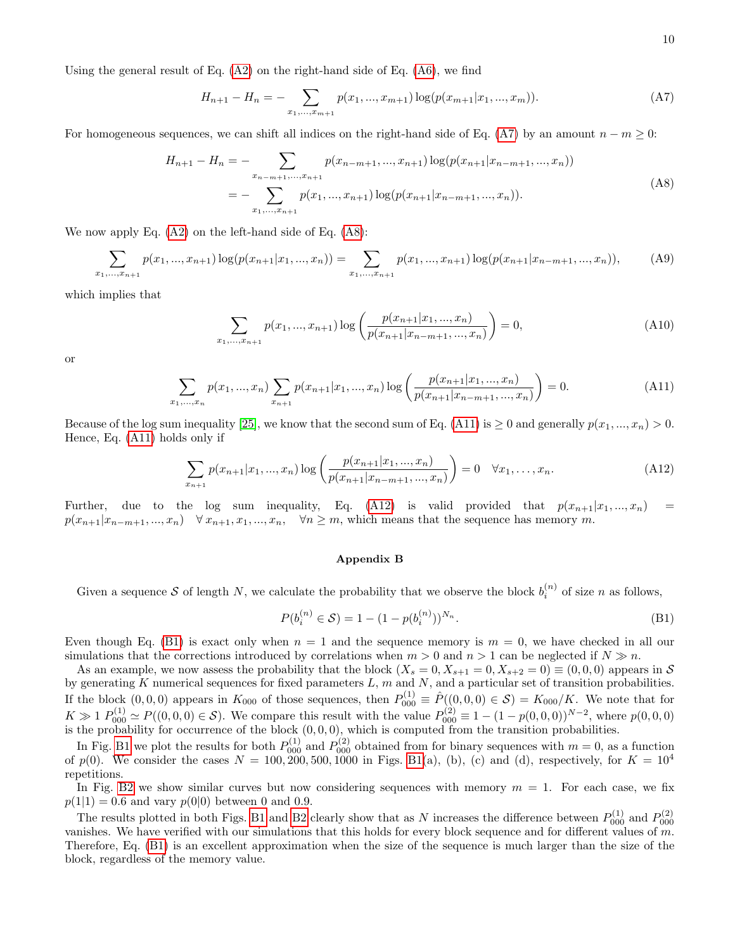Using the general result of Eq. [\(A2\)](#page-8-5) on the right-hand side of Eq. [\(A6\)](#page-8-8), we find

<span id="page-9-1"></span>
$$
H_{n+1} - H_n = - \sum_{x_1, \dots, x_{m+1}} p(x_1, \dots, x_{m+1}) \log(p(x_{m+1}|x_1, \dots, x_m)). \tag{A7}
$$

For homogeneous sequences, we can shift all indices on the right-hand side of Eq. [\(A7\)](#page-9-1) by an amount  $n - m \geq 0$ :

$$
H_{n+1} - H_n = - \sum_{x_{n-m+1},...,x_{n+1}} p(x_{n-m+1},...,x_{n+1}) \log(p(x_{n+1}|x_{n-m+1},...,x_n))
$$
  
= 
$$
- \sum_{x_1,...,x_{n+1}} p(x_1,...,x_{n+1}) \log(p(x_{n+1}|x_{n-m+1},...,x_n)).
$$
 (A8)

We now apply Eq. [\(A2\)](#page-8-5) on the left-hand side of Eq. [\(A8\)](#page-9-2):

$$
\sum_{x_1,\dots,x_{n+1}} p(x_1,\dots,x_{n+1}) \log(p(x_{n+1}|x_1,\dots,x_n)) = \sum_{x_1,\dots,x_{n+1}} p(x_1,\dots,x_{n+1}) \log(p(x_{n+1}|x_{n-m+1},\dots,x_n)),\tag{A9}
$$

which implies that

<span id="page-9-2"></span>
$$
\sum_{x_1,\dots,x_{n+1}} p(x_1,\dots,x_{n+1}) \log \left( \frac{p(x_{n+1}|x_1,\dots,x_n)}{p(x_{n+1}|x_{n-m+1},\dots,x_n)} \right) = 0,\tag{A10}
$$

or

$$
\sum_{x_1,\dots,x_n} p(x_1,\dots,x_n) \sum_{x_{n+1}} p(x_{n+1}|x_1,\dots,x_n) \log \left( \frac{p(x_{n+1}|x_1,\dots,x_n)}{p(x_{n+1}|x_{n-m+1},\dots,x_n)} \right) = 0.
$$
 (A11)

Because of the log sum inequality [\[25\]](#page-7-24), we know that the second sum of Eq. [\(A11\)](#page-9-3) is  $\geq 0$  and generally  $p(x_1, ..., x_n) > 0$ . Hence, Eq. [\(A11\)](#page-9-3) holds only if

$$
\sum_{x_{n+1}} p(x_{n+1}|x_1, ..., x_n) \log \left( \frac{p(x_{n+1}|x_1, ..., x_n)}{p(x_{n+1}|x_{n-m+1}, ..., x_n)} \right) = 0 \quad \forall x_1, ..., x_n.
$$
 (A12)

Further, due to the log sum inequality, Eq. [\(A12\)](#page-9-4) is valid provided that  $p(x_{n+1}|x_1, ..., x_n)$  =  $p(x_{n+1}|x_{n-m+1},...,x_n) \quad \forall x_{n+1}, x_1,...,x_n, \quad \forall n \geq m$ , which means that the sequence has memory m.

#### <span id="page-9-4"></span><span id="page-9-3"></span><span id="page-9-0"></span>Appendix B

Given a sequence S of length N, we calculate the probability that we observe the block  $b_i^{(n)}$  of size n as follows,

<span id="page-9-5"></span>
$$
P(b_i^{(n)} \in S) = 1 - (1 - p(b_i^{(n)}))^{N_n}.
$$
\n(B1)

Even though Eq. [\(B1\)](#page-9-5) is exact only when  $n = 1$  and the sequence memory is  $m = 0$ , we have checked in all our simulations that the corrections introduced by correlations when  $m > 0$  and  $n > 1$  can be neglected if  $N \gg n$ .

As an example, we now assess the probability that the block  $(X_s = 0, X_{s+1} = 0, X_{s+2} = 0) \equiv (0, 0, 0)$  appears in S by generating K numerical sequences for fixed parameters  $L$ ,  $m$  and  $N$ , and a particular set of transition probabilities. If the block  $(0,0,0)$  appears in  $K_{000}$  of those sequences, then  $P_{000}^{(1)} \equiv \hat{P}((0,0,0) \in \mathcal{S}) = K_{000}/K$ . We note that for  $K \gg 1$   $P_{000}^{(1)} \simeq P((0,0,0) \in \mathcal{S})$ . We compare this result with the value  $P_{000}^{(2)} \equiv 1 - (1 - p(0,0,0))^{N-2}$ , where  $p(0,0,0)$ is the probability for occurrence of the block  $(0, 0, 0)$ , which is computed from the transition probabilities.

In Fig. [B1](#page-1-2) we plot the results for both  $P_{000}^{(1)}$  and  $P_{000}^{(2)}$  obtained from for binary sequences with  $m = 0$ , as a function of  $p(0)$ . We consider the cases  $N = 100, 200, 500, 1000$  in Figs. [B1\(](#page-1-2)a), (b), (c) and (d), respectively, for  $K = 10^4$ repetitions.

In Fig. [B2](#page-2-1) we show similar curves but now considering sequences with memory  $m = 1$ . For each case, we fix  $p(1|1) = 0.6$  and vary  $p(0|0)$  between 0 and 0.9.

The results plotted in both Figs. [B1](#page-1-2) and [B2](#page-2-1) clearly show that as N increases the difference between  $P_{000}^{(1)}$  and  $P_{000}^{(2)}$ vanishes. We have verified with our simulations that this holds for every block sequence and for different values of m. Therefore, Eq. [\(B1\)](#page-9-5) is an excellent approximation when the size of the sequence is much larger than the size of the block, regardless of the memory value.